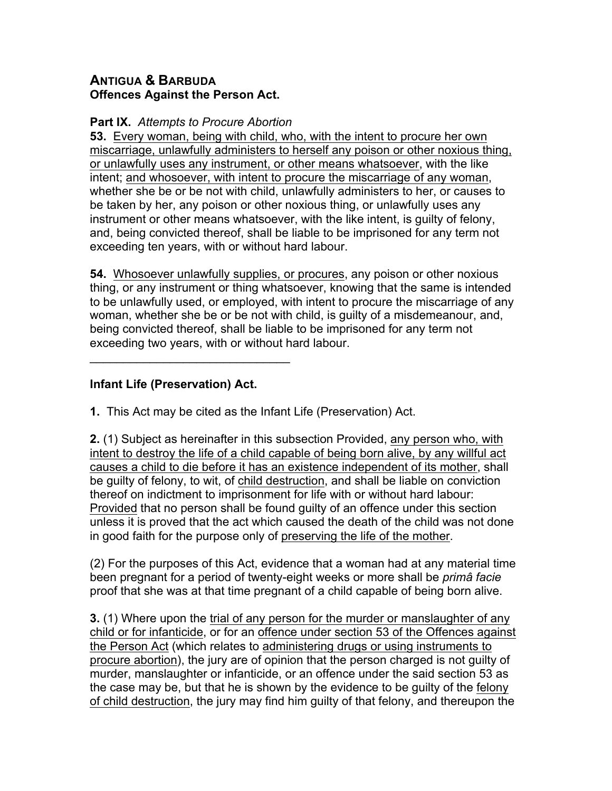## **ANTIGUA & BARBUDA Offences Against the Person Act.**

## **Part IX.** *Attempts to Procure Abortion*

**53.** Every woman, being with child, who, with the intent to procure her own miscarriage, unlawfully administers to herself any poison or other noxious thing, or unlawfully uses any instrument, or other means whatsoever, with the like intent; and whosoever, with intent to procure the miscarriage of any woman, whether she be or be not with child, unlawfully administers to her, or causes to be taken by her, any poison or other noxious thing, or unlawfully uses any instrument or other means whatsoever, with the like intent, is guilty of felony, and, being convicted thereof, shall be liable to be imprisoned for any term not exceeding ten years, with or without hard labour.

**54.** Whosoever unlawfully supplies, or procures, any poison or other noxious thing, or any instrument or thing whatsoever, knowing that the same is intended to be unlawfully used, or employed, with intent to procure the miscarriage of any woman, whether she be or be not with child, is guilty of a misdemeanour, and, being convicted thereof, shall be liable to be imprisoned for any term not exceeding two years, with or without hard labour.

## **Infant Life (Preservation) Act.**

 $\mathcal{L}=\{1,2,3,4,5\}$ 

**1.** This Act may be cited as the Infant Life (Preservation) Act.

**2.** (1) Subject as hereinafter in this subsection Provided, any person who, with intent to destroy the life of a child capable of being born alive, by any willful act causes a child to die before it has an existence independent of its mother, shall be guilty of felony, to wit, of child destruction, and shall be liable on conviction thereof on indictment to imprisonment for life with or without hard labour: Provided that no person shall be found guilty of an offence under this section unless it is proved that the act which caused the death of the child was not done in good faith for the purpose only of preserving the life of the mother.

(2) For the purposes of this Act, evidence that a woman had at any material time been pregnant for a period of twenty-eight weeks or more shall be *primâ facie* proof that she was at that time pregnant of a child capable of being born alive.

**3.** (1) Where upon the trial of any person for the murder or manslaughter of any child or for infanticide, or for an offence under section 53 of the Offences against the Person Act (which relates to administering drugs or using instruments to procure abortion), the jury are of opinion that the person charged is not guilty of murder, manslaughter or infanticide, or an offence under the said section 53 as the case may be, but that he is shown by the evidence to be guilty of the felony of child destruction, the jury may find him guilty of that felony, and thereupon the